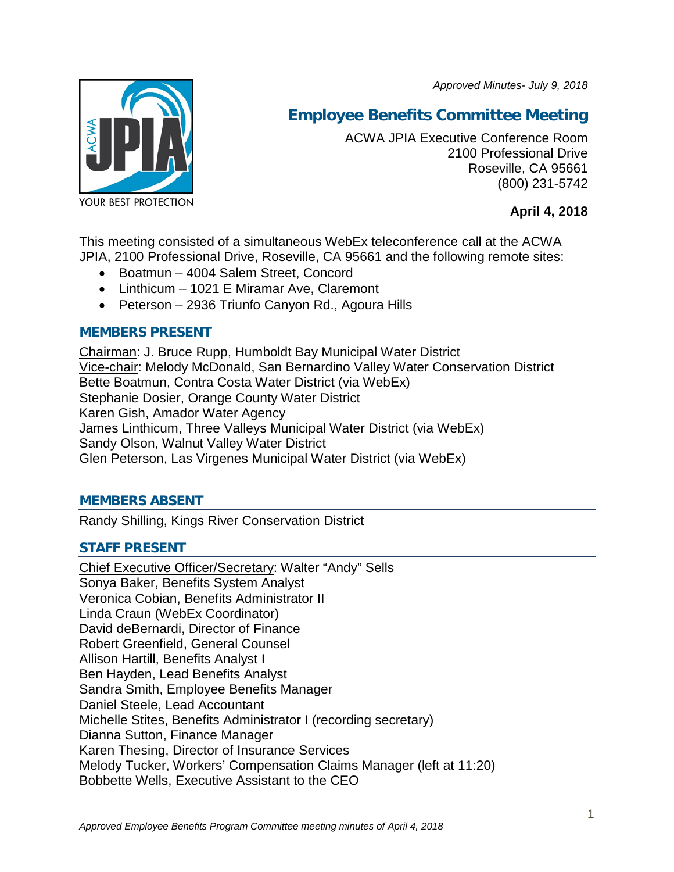*Approved Minutes- July 9, 2018*



# **Employee Benefits Committee Meeting**

ACWA JPIA Executive Conference Room 2100 Professional Drive Roseville, CA 95661 (800) 231-5742

**April 4, 2018**

This meeting consisted of a simultaneous WebEx teleconference call at the ACWA JPIA, 2100 Professional Drive, Roseville, CA 95661 and the following remote sites:

- Boatmun 4004 Salem Street, Concord
- Linthicum 1021 E Miramar Ave, Claremont
- Peterson 2936 Triunfo Canyon Rd., Agoura Hills

# **MEMBERS PRESENT**

Chairman: J. Bruce Rupp, Humboldt Bay Municipal Water District Vice-chair: Melody McDonald, San Bernardino Valley Water Conservation District Bette Boatmun, Contra Costa Water District (via WebEx) Stephanie Dosier, Orange County Water District Karen Gish, Amador Water Agency James Linthicum, Three Valleys Municipal Water District (via WebEx) Sandy Olson, Walnut Valley Water District Glen Peterson, Las Virgenes Municipal Water District (via WebEx)

# **MEMBERS ABSENT**

Randy Shilling, Kings River Conservation District

# **STAFF PRESENT**

Chief Executive Officer/Secretary: Walter "Andy" Sells Sonya Baker, Benefits System Analyst Veronica Cobian, Benefits Administrator II Linda Craun (WebEx Coordinator) David deBernardi, Director of Finance Robert Greenfield, General Counsel Allison Hartill, Benefits Analyst I Ben Hayden, Lead Benefits Analyst Sandra Smith, Employee Benefits Manager Daniel Steele, Lead Accountant Michelle Stites, Benefits Administrator I (recording secretary) Dianna Sutton, Finance Manager Karen Thesing, Director of Insurance Services Melody Tucker, Workers' Compensation Claims Manager (left at 11:20) Bobbette Wells, Executive Assistant to the CEO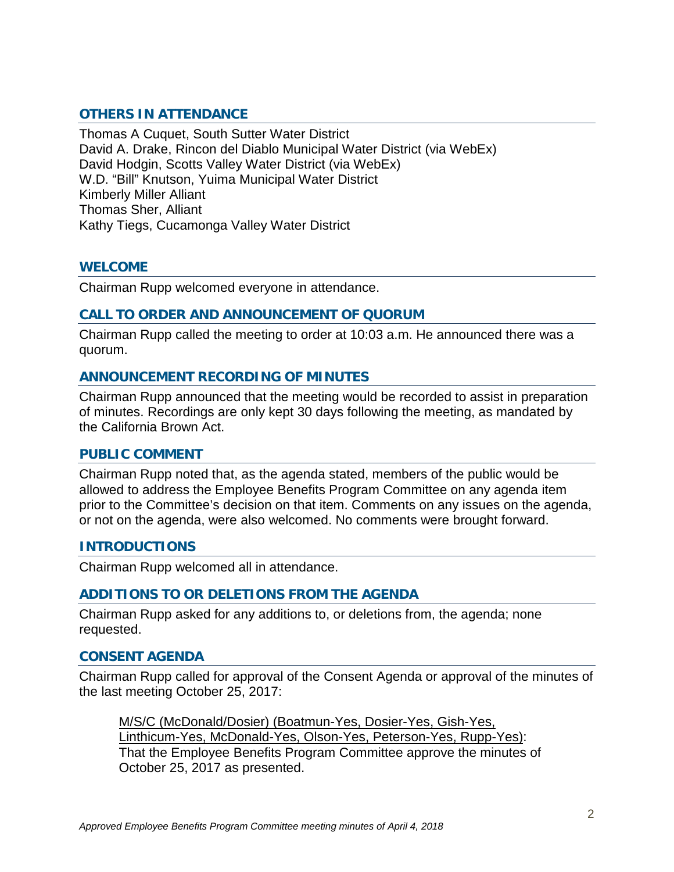# **OTHERS IN ATTENDANCE**

Thomas A Cuquet, South Sutter Water District David A. Drake, Rincon del Diablo Municipal Water District (via WebEx) David Hodgin, Scotts Valley Water District (via WebEx) W.D. "Bill" Knutson, Yuima Municipal Water District Kimberly Miller Alliant Thomas Sher, Alliant Kathy Tiegs, Cucamonga Valley Water District

## **WELCOME**

Chairman Rupp welcomed everyone in attendance.

## **CALL TO ORDER AND ANNOUNCEMENT OF QUORUM**

Chairman Rupp called the meeting to order at 10:03 a.m. He announced there was a quorum.

## **ANNOUNCEMENT RECORDING OF MINUTES**

Chairman Rupp announced that the meeting would be recorded to assist in preparation of minutes. Recordings are only kept 30 days following the meeting, as mandated by the California Brown Act.

#### **PUBLIC COMMENT**

Chairman Rupp noted that, as the agenda stated, members of the public would be allowed to address the Employee Benefits Program Committee on any agenda item prior to the Committee's decision on that item. Comments on any issues on the agenda, or not on the agenda, were also welcomed. No comments were brought forward.

#### **INTRODUCTIONS**

Chairman Rupp welcomed all in attendance.

#### **ADDITIONS TO OR DELETIONS FROM THE AGENDA**

Chairman Rupp asked for any additions to, or deletions from, the agenda; none requested.

# **CONSENT AGENDA**

Chairman Rupp called for approval of the Consent Agenda or approval of the minutes of the last meeting October 25, 2017:

M/S/C (McDonald/Dosier) (Boatmun-Yes, Dosier-Yes, Gish-Yes, Linthicum-Yes, McDonald-Yes, Olson-Yes, Peterson-Yes, Rupp-Yes): That the Employee Benefits Program Committee approve the minutes of October 25, 2017 as presented.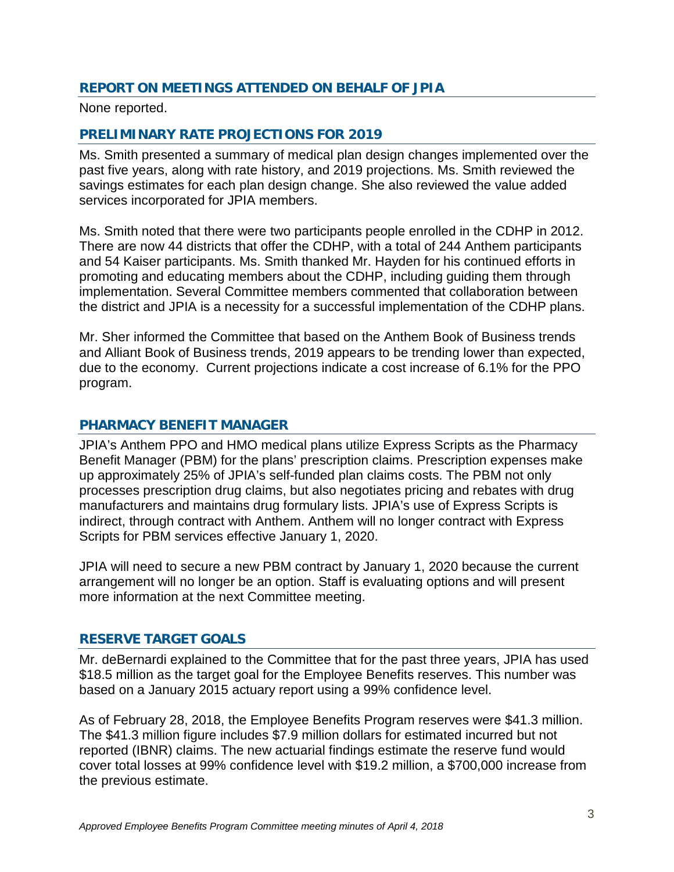# **REPORT ON MEETINGS ATTENDED ON BEHALF OF JPIA**

None reported.

# **PRELIMINARY RATE PROJECTIONS FOR 2019**

Ms. Smith presented a summary of medical plan design changes implemented over the past five years, along with rate history, and 2019 projections. Ms. Smith reviewed the savings estimates for each plan design change. She also reviewed the value added services incorporated for JPIA members.

Ms. Smith noted that there were two participants people enrolled in the CDHP in 2012. There are now 44 districts that offer the CDHP, with a total of 244 Anthem participants and 54 Kaiser participants. Ms. Smith thanked Mr. Hayden for his continued efforts in promoting and educating members about the CDHP, including guiding them through implementation. Several Committee members commented that collaboration between the district and JPIA is a necessity for a successful implementation of the CDHP plans.

Mr. Sher informed the Committee that based on the Anthem Book of Business trends and Alliant Book of Business trends, 2019 appears to be trending lower than expected, due to the economy. Current projections indicate a cost increase of 6.1% for the PPO program.

# **PHARMACY BENEFIT MANAGER**

JPIA's Anthem PPO and HMO medical plans utilize Express Scripts as the Pharmacy Benefit Manager (PBM) for the plans' prescription claims. Prescription expenses make up approximately 25% of JPIA's self-funded plan claims costs. The PBM not only processes prescription drug claims, but also negotiates pricing and rebates with drug manufacturers and maintains drug formulary lists. JPIA's use of Express Scripts is indirect, through contract with Anthem. Anthem will no longer contract with Express Scripts for PBM services effective January 1, 2020.

JPIA will need to secure a new PBM contract by January 1, 2020 because the current arrangement will no longer be an option. Staff is evaluating options and will present more information at the next Committee meeting.

# **RESERVE TARGET GOALS**

Mr. deBernardi explained to the Committee that for the past three years, JPIA has used \$18.5 million as the target goal for the Employee Benefits reserves. This number was based on a January 2015 actuary report using a 99% confidence level.

As of February 28, 2018, the Employee Benefits Program reserves were \$41.3 million. The \$41.3 million figure includes \$7.9 million dollars for estimated incurred but not reported (IBNR) claims. The new actuarial findings estimate the reserve fund would cover total losses at 99% confidence level with \$19.2 million, a \$700,000 increase from the previous estimate.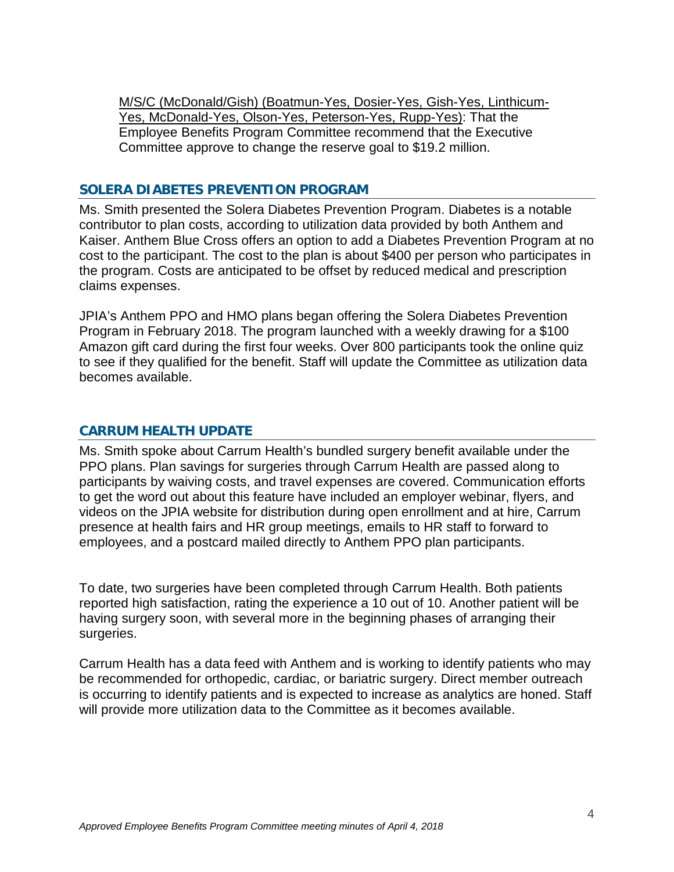M/S/C (McDonald/Gish) (Boatmun-Yes, Dosier-Yes, Gish-Yes, Linthicum-Yes, McDonald-Yes, Olson-Yes, Peterson-Yes, Rupp-Yes): That the Employee Benefits Program Committee recommend that the Executive Committee approve to change the reserve goal to \$19.2 million.

## **SOLERA DIABETES PREVENTION PROGRAM**

Ms. Smith presented the Solera Diabetes Prevention Program. Diabetes is a notable contributor to plan costs, according to utilization data provided by both Anthem and Kaiser. Anthem Blue Cross offers an option to add a Diabetes Prevention Program at no cost to the participant. The cost to the plan is about \$400 per person who participates in the program. Costs are anticipated to be offset by reduced medical and prescription claims expenses.

JPIA's Anthem PPO and HMO plans began offering the Solera Diabetes Prevention Program in February 2018. The program launched with a weekly drawing for a \$100 Amazon gift card during the first four weeks. Over 800 participants took the online quiz to see if they qualified for the benefit. Staff will update the Committee as utilization data becomes available.

# **CARRUM HEALTH UPDATE**

Ms. Smith spoke about Carrum Health's bundled surgery benefit available under the PPO plans. Plan savings for surgeries through Carrum Health are passed along to participants by waiving costs, and travel expenses are covered. Communication efforts to get the word out about this feature have included an employer webinar, flyers, and videos on the JPIA website for distribution during open enrollment and at hire, Carrum presence at health fairs and HR group meetings, emails to HR staff to forward to employees, and a postcard mailed directly to Anthem PPO plan participants.

To date, two surgeries have been completed through Carrum Health. Both patients reported high satisfaction, rating the experience a 10 out of 10. Another patient will be having surgery soon, with several more in the beginning phases of arranging their surgeries.

Carrum Health has a data feed with Anthem and is working to identify patients who may be recommended for orthopedic, cardiac, or bariatric surgery. Direct member outreach is occurring to identify patients and is expected to increase as analytics are honed. Staff will provide more utilization data to the Committee as it becomes available.